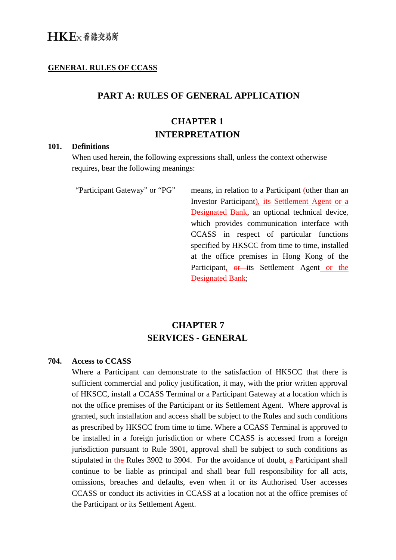## **GENERAL RULES OF CCASS**

## **PART A: RULES OF GENERAL APPLICATION**

# **CHAPTER 1 INTERPRETATION**

#### **101. Definitions**

When used herein, the following expressions shall, unless the context otherwise requires, bear the following meanings:

"Participant Gateway" or "PG" means, in relation to a Participant (other than an Investor Participant), its Settlement Agent or a Designated Bank, an optional technical device, which provides communication interface with CCASS in respect of particular functions specified by HKSCC from time to time, installed at the office premises in Hong Kong of the Participant,  $\theta$ r its Settlement Agent or the Designated Bank;

# **CHAPTER 7 SERVICES - GENERAL**

### **704. Access to CCASS**

Where a Participant can demonstrate to the satisfaction of HKSCC that there is sufficient commercial and policy justification, it may, with the prior written approval of HKSCC, install a CCASS Terminal or a Participant Gateway at a location which is not the office premises of the Participant or its Settlement Agent. Where approval is granted, such installation and access shall be subject to the Rules and such conditions as prescribed by HKSCC from time to time. Where a CCASS Terminal is approved to be installed in a foreign jurisdiction or where CCASS is accessed from a foreign jurisdiction pursuant to Rule 3901, approval shall be subject to such conditions as stipulated in the Rules 3902 to 3904. For the avoidance of doubt,  $a$  Participant shall continue to be liable as principal and shall bear full responsibility for all acts, omissions, breaches and defaults, even when it or its Authorised User accesses CCASS or conduct its activities in CCASS at a location not at the office premises of the Participant or its Settlement Agent.